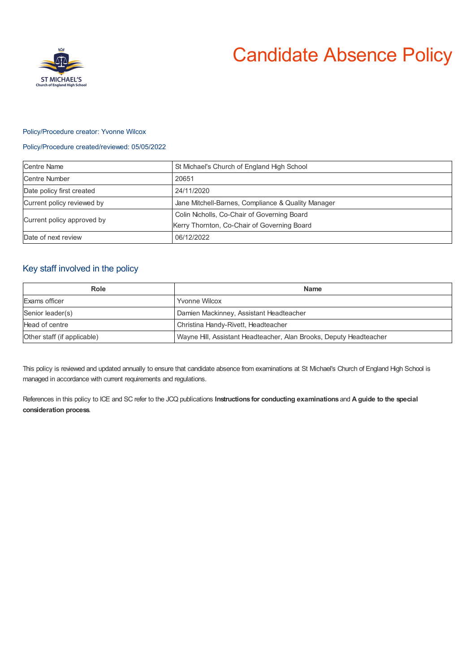

# Candidate Absence Policy

## Policy/Procedure creator: Yvonne Wilcox

## Policy/Procedure created/reviewed: 05/05/2022

| <b>Centre Name</b>         | St Michael's Church of England High School                                                 |
|----------------------------|--------------------------------------------------------------------------------------------|
| Centre Number              | 20651                                                                                      |
| Date policy first created  | 24/11/2020                                                                                 |
| Current policy reviewed by | Jane Mitchell-Barnes, Compliance & Quality Manager                                         |
| Current policy approved by | Colin Nicholls, Co-Chair of Governing Board<br>Kerry Thornton, Co-Chair of Governing Board |
| Date of next review        | 06/12/2022                                                                                 |

# Key staff involved in the policy

| Role                        | <b>Name</b>                                                        |
|-----------------------------|--------------------------------------------------------------------|
| Exams officer               | <b>Yvonne Wilcox</b>                                               |
| Senior leader(s)            | Damien Mackinney, Assistant Headteacher                            |
| Head of centre              | Christina Handy-Rivett, Headteacher                                |
| Other staff (if applicable) | Wayne Hill, Assistant Headteacher, Alan Brooks, Deputy Headteacher |

This policy is reviewed and updated annually to ensure that candidate absence from examinations at St Michael's Church of England High School is managed in accordance with current requirements and regulations.

References in this policy to ICE and SC refer to the JCQ publications **Instructions for conducting examinations** and **A guide to the special consideration process**.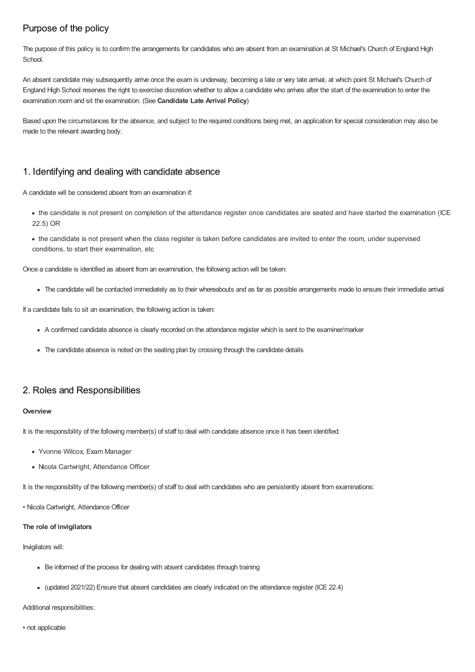# Purpose of the policy

The purpose of this policy is to confirm the arrangements for candidates who are absent from an examination at St Michael's Church of England High School.

An absent candidate may subsequently arrive once the exam is underway, becoming a late or very late arrival, at which point St Michael's Church of England High School reserves the right to exercise discretion whether to allow a candidate who arrives after the start of the examination to enter the examination room and sit the examination. (See **Candidate Late Arrival Policy**)

Based upon the circumstances for the absence, and subject to the required conditions being met, an application for special consideration may also be made to the relevant awarding body.

## 1. Identifying and dealing with candidate absence

A candidate will be considered absent from an examination if:

- the candidate is not present on completion of the attendance register once candidates are seated and have started the examination (ICE 22.5) OR
- the candidate is not present when the class register is taken before candidates are invited to enter the room, under supervised conditions, to start their examination, etc

Once a candidate is identified as absent from an examination, the following action will be taken:

The candidate will be contacted immediately as to their whereabouts and as far as possible arrangements made to ensure their immediate arrival

If a candidate fails to sit an examination, the following action is taken:

- A confirmed candidate absence is clearly recorded on the attendance register which is sent to the examiner/marker
- The candidate absence is noted on the seating plan by crossing through the candidate details

## 2. Roles and Responsibilities

#### **Overview**

It is the responsibility of the following member(s) of staff to deal with candidate absence once it has been identified:

- Yvonne Wilcox, Exam Manager
- Nicola Cartwright, Attendance Officer

It is the responsibility of the following member(s) of staff to deal with candidates who are persistently absent from examinations:

• Nicola Cartwright, Attendance Officer

#### **The role of invigilators**

Invigilators will:

- Be informed of the process for dealing with absent candidates through training
- (updated 2021/22) Ensure that absent candidates are clearly indicated on the attendance register (ICE 22.4)

Additional responsibilities:

• not applicable